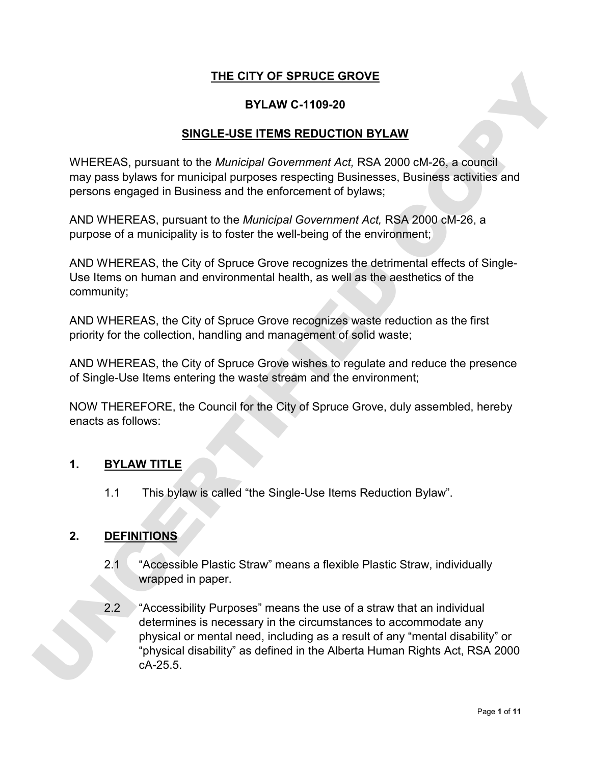### **THE CITY OF SPRUCE GROVE**

#### **BYLAW C-1109-20**

### **SINGLE-USE ITEMS REDUCTION BYLAW**

WHEREAS, pursuant to the *Municipal Government Act,* RSA 2000 cM-26, a council may pass bylaws for municipal purposes respecting Businesses, Business activities and persons engaged in Business and the enforcement of bylaws;

AND WHEREAS, pursuant to the *Municipal Government Act,* RSA 2000 cM-26, a purpose of a municipality is to foster the well-being of the environment;

AND WHEREAS, the City of Spruce Grove recognizes the detrimental effects of Single-Use Items on human and environmental health, as well as the aesthetics of the community;

AND WHEREAS, the City of Spruce Grove recognizes waste reduction as the first priority for the collection, handling and management of solid waste;

AND WHEREAS, the City of Spruce Grove wishes to regulate and reduce the presence of Single-Use Items entering the waste stream and the environment;

NOW THEREFORE, the Council for the City of Spruce Grove, duly assembled, hereby enacts as follows:

#### **1. BYLAW TITLE**

1.1 This bylaw is called "the Single-Use Items Reduction Bylaw".

#### **2. DEFINITIONS**

- 2.1 "Accessible Plastic Straw" means a flexible Plastic Straw, individually wrapped in paper.
- **EHE CITY OF SPRUCE GROVE<br>
SINGLE-USE TEMB (SCAW C-1109-20<br>
SINGLE-USE TEMB (SCAW C-1109-20<br>
WHEREAS, pursuant to the Municipal purposes respecting Businesses. Business a general may pass by<br>tank for municipal purposes re** 2.2 "Accessibility Purposes" means the use of a straw that an individual determines is necessary in the circumstances to accommodate any physical or mental need, including as a result of any "mental disability" or "physical disability" as defined in the Alberta Human Rights Act, RSA 2000 cA-25.5.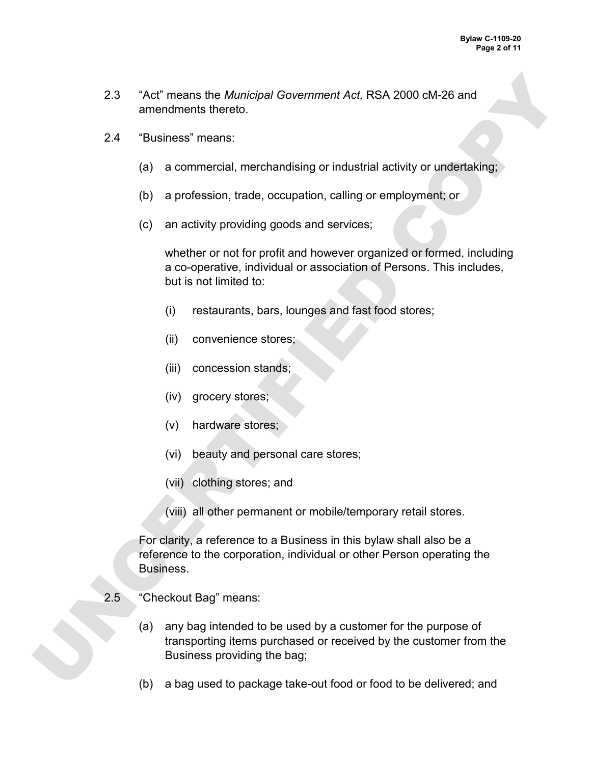- 2.3 "Act" means the *Municipal Government Act,* RSA 2000 cM-26 and amendments thereto.
- 2.4 "Business" means:
	- (a) a commercial, merchandising or industrial activity or undertaking;
	- (b) a profession, trade, occupation, calling or employment; or
	- (c) an activity providing goods and services;

whether or not for profit and however organized or formed, including a co-operative, individual or association of Persons. This includes, but is not limited to:

- (i) restaurants, bars, lounges and fast food stores;
- (ii) convenience stores;
- (iii) concession stands;
- (iv) grocery stores;
- (v) hardware stores;
- (vi) beauty and personal care stores;
- (vii) clothing stores; and
- (viii) all other permanent or mobile/temporary retail stores.

For clarity, a reference to a Business in this bylaw shall also be a reference to the corporation, individual or other Person operating the Business.

- 2.5 "Checkout Bag" means:
- 23 "Act" means the *Municipal Government Act,* RSA 2000 cM-26 and<br>
annendments thereta.<br>
(a) a commercial, merchandising or industrial activity or undertaking.<br>
(b) a profession, trade, occupation, calling or employment; (a) any bag intended to be used by a customer for the purpose of transporting items purchased or received by the customer from the Business providing the bag;
	- (b) a bag used to package take-out food or food to be delivered; and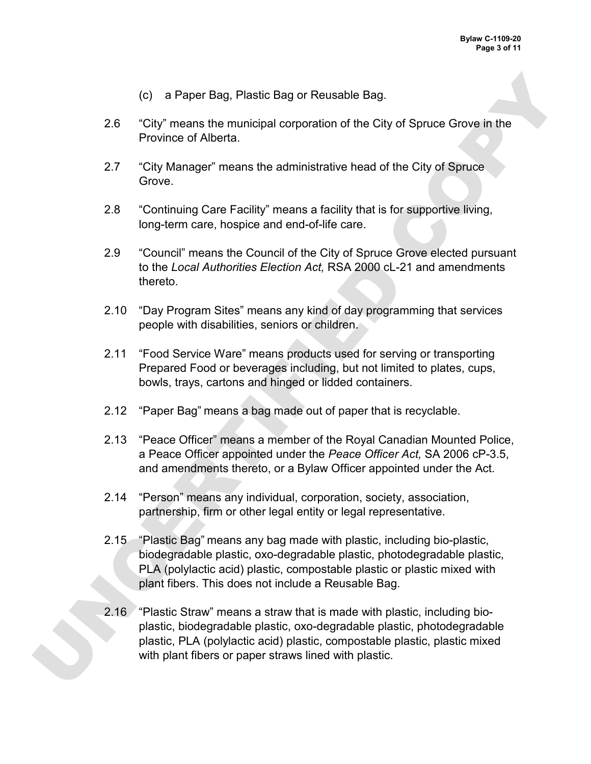- (c) a Paper Bag, Plastic Bag or Reusable Bag.
- 2.6 "City" means the municipal corporation of the City of Spruce Grove in the Province of Alberta.
- 2.7 "City Manager" means the administrative head of the City of Spruce Grove.
- 2.8 "Continuing Care Facility" means a facility that is for supportive living, long-term care, hospice and end-of-life care.
- 2.9 "Council" means the Council of the City of Spruce Grove elected pursuant to the *Local Authorities Election Act,* RSA 2000 cL-21 and amendments thereto.
- 2.10 "Day Program Sites" means any kind of day programming that services people with disabilities, seniors or children.
- 2.11 "Food Service Ware" means products used for serving or transporting Prepared Food or beverages including, but not limited to plates, cups, bowls, trays, cartons and hinged or lidded containers.
- 2.12 "Paper Bag" means a bag made out of paper that is recyclable.
- 2.13 "Peace Officer" means a member of the Royal Canadian Mounted Police, a Peace Officer appointed under the *Peace Officer Act,* SA 2006 cP-3.5, and amendments thereto, or a Bylaw Officer appointed under the Act.
- 2.14 "Person" means any individual, corporation, society, association, partnership, firm or other legal entity or legal representative.
- (c) a Paper Bag. Plastic Bag or Reussible Bag.<br>2.5 City' means the municipal corporation of the City of Spruce Grove in the Province of Alberta.<br>2.7 City Manager' means the administrative head of the City of Spruce Grove 2.15 "Plastic Bag" means any bag made with plastic, including bio-plastic, biodegradable plastic, oxo-degradable plastic, photodegradable plastic, PLA (polylactic acid) plastic, compostable plastic or plastic mixed with plant fibers. This does not include a Reusable Bag.
	- 2.16 "Plastic Straw" means a straw that is made with plastic, including bioplastic, biodegradable plastic, oxo-degradable plastic, photodegradable plastic, PLA (polylactic acid) plastic, compostable plastic, plastic mixed with plant fibers or paper straws lined with plastic.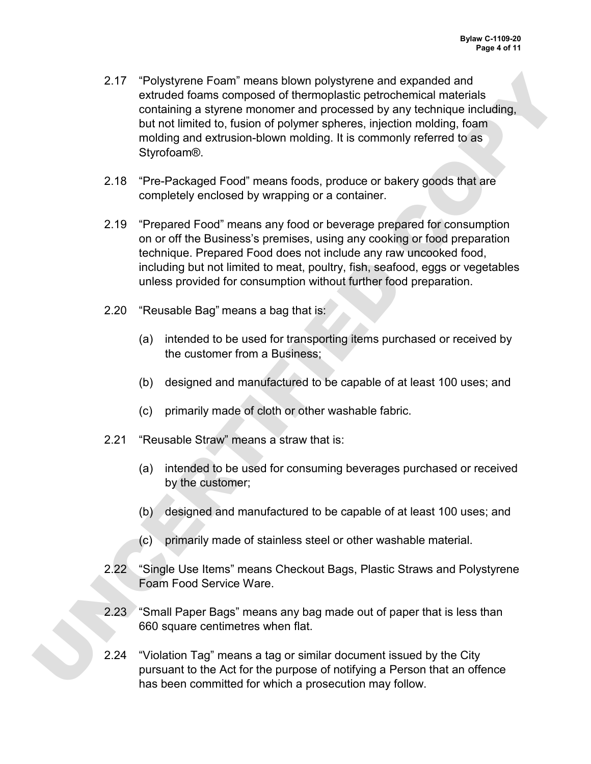- 2.17 Polystiyene Fearin means bloom polystyiene and expanded and<br>containing a styresne momons of thermoplastic petrodnenical materials<br>containing a styrens momons of professare by any technique including,<br>but not limited t 2.17 "Polystyrene Foam" means blown polystyrene and expanded and extruded foams composed of thermoplastic petrochemical materials containing a styrene monomer and processed by any technique including, but not limited to, fusion of polymer spheres, injection molding, foam molding and extrusion-blown molding. It is commonly referred to as Styrofoam®.
	- 2.18 "Pre-Packaged Food" means foods, produce or bakery goods that are completely enclosed by wrapping or a container.
	- 2.19 "Prepared Food" means any food or beverage prepared for consumption on or off the Business's premises, using any cooking or food preparation technique. Prepared Food does not include any raw uncooked food, including but not limited to meat, poultry, fish, seafood, eggs or vegetables unless provided for consumption without further food preparation.
	- 2.20 "Reusable Bag" means a bag that is:
		- (a) intended to be used for transporting items purchased or received by the customer from a Business;
		- (b) designed and manufactured to be capable of at least 100 uses; and
		- (c) primarily made of cloth or other washable fabric.
	- 2.21 "Reusable Straw" means a straw that is:
		- (a) intended to be used for consuming beverages purchased or received by the customer;
		- (b) designed and manufactured to be capable of at least 100 uses; and
		- (c) primarily made of stainless steel or other washable material.
	- 2.22 "Single Use Items" means Checkout Bags, Plastic Straws and Polystyrene Foam Food Service Ware.
	- 2.23 "Small Paper Bags" means any bag made out of paper that is less than 660 square centimetres when flat.
	- 2.24 "Violation Tag" means a tag or similar document issued by the City pursuant to the Act for the purpose of notifying a Person that an offence has been committed for which a prosecution may follow.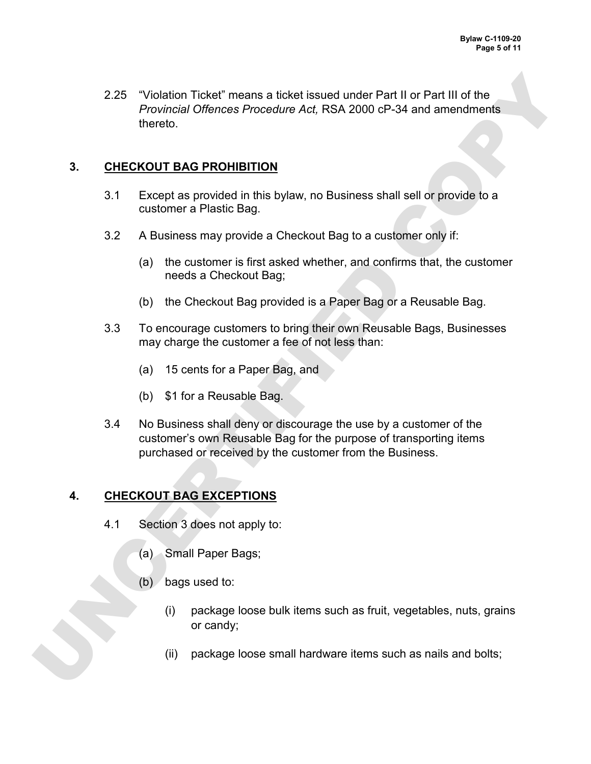2.25 "Violation Ticket" means a ticket issued under Part II of Part III of the<br>
Provincial Offences Procedure Act, RSA 2000 cP-34 and amendments<br>
theretic,<br>
3. CHECKOUT BAG PROHIBITION<br>
3. CHECKOUT BAG PROHIBITION<br>
3. CHE 2.25 "Violation Ticket" means a ticket issued under Part II or Part III of the *Provincial Offences Procedure Act,* RSA 2000 cP-34 and amendments thereto.

# **3. CHECKOUT BAG PROHIBITION**

- 3.1 Except as provided in this bylaw, no Business shall sell or provide to a customer a Plastic Bag.
- 3.2 A Business may provide a Checkout Bag to a customer only if:
	- (a) the customer is first asked whether, and confirms that, the customer needs a Checkout Bag;
	- (b) the Checkout Bag provided is a Paper Bag or a Reusable Bag.
- 3.3 To encourage customers to bring their own Reusable Bags, Businesses may charge the customer a fee of not less than:
	- (a) 15 cents for a Paper Bag, and
	- (b) \$1 for a Reusable Bag.
- 3.4 No Business shall deny or discourage the use by a customer of the customer's own Reusable Bag for the purpose of transporting items purchased or received by the customer from the Business.

# **4. CHECKOUT BAG EXCEPTIONS**

- 4.1 Section 3 does not apply to:
	- (a) Small Paper Bags;
	- (b) bags used to:
		- (i) package loose bulk items such as fruit, vegetables, nuts, grains or candy;
		- (ii) package loose small hardware items such as nails and bolts;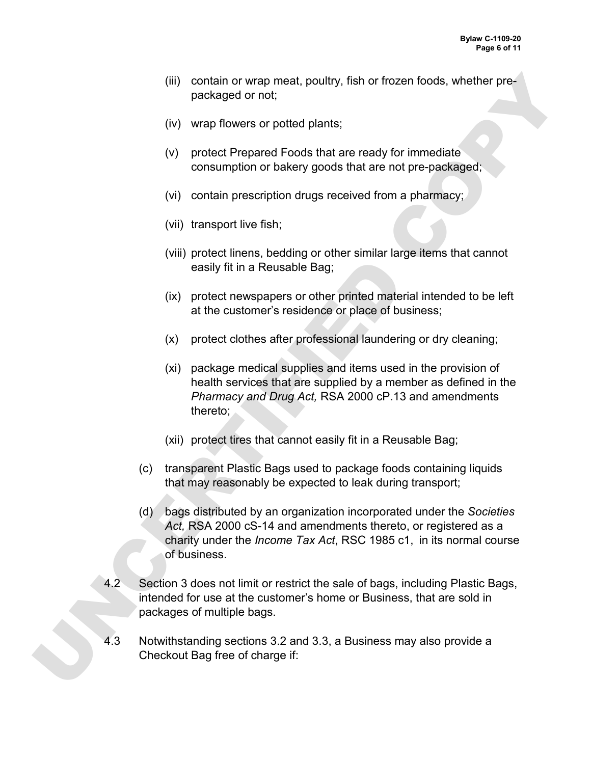- (iii) contain or wrap meat, poultry, fish or frozen foods, whether prepackaged or not;
- (iv) wrap flowers or potted plants;
- (v) protect Prepared Foods that are ready for immediate consumption or bakery goods that are not pre-packaged;
- (vi) contain prescription drugs received from a pharmacy;
- (vii) transport live fish;
- (viii) protect linens, bedding or other similar large items that cannot easily fit in a Reusable Bag;
- (ix) protect newspapers or other printed material intended to be left at the customer's residence or place of business;
- (x) protect clothes after professional laundering or dry cleaning;
- (xi) package medical supplies and items used in the provision of health services that are supplied by a member as defined in the *Pharmacy and Drug Act,* RSA 2000 cP.13 and amendments thereto;
- (xii) protect tires that cannot easily fit in a Reusable Bag;
- (c) transparent Plastic Bags used to package foods containing liquids that may reasonably be expected to leak during transport;
- (iii) contain or wap meal, poultry, fish or frozen loods, whether pre-<br>
packaged or not:<br>
(iv) was flowes or potted plants;<br>
(v) protect Prepared Foods that are ready for immediate<br>
consumption or bakery goods that are no (d) bags distributed by an organization incorporated under the *Societies Act,* RSA 2000 cS-14 and amendments thereto, or registered as a charity under the *Income Tax Act*, RSC 1985 c1, in its normal course of business.
	- 4.2 Section 3 does not limit or restrict the sale of bags, including Plastic Bags, intended for use at the customer's home or Business, that are sold in packages of multiple bags.
	- 4.3 Notwithstanding sections 3.2 and 3.3, a Business may also provide a Checkout Bag free of charge if: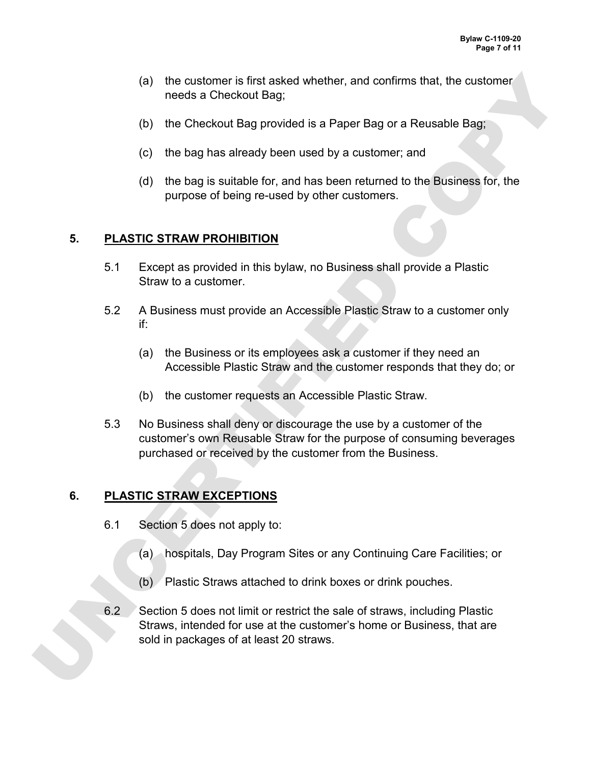- (a) the customer is first asked whether, and confirms that, the customer needs a Checkout Bag;
- (b) the Checkout Bag provided is a Paper Bag or a Reusable Bag;
- (c) the bag has already been used by a customer; and
- (d) the bag is suitable for, and has been returned to the Business for, the purpose of being re-used by other customers.

### **5. PLASTIC STRAW PROHIBITION**

- 5.1 Except as provided in this bylaw, no Business shall provide a Plastic Straw to a customer.
- 5.2 A Business must provide an Accessible Plastic Straw to a customer only if:
	- (a) the Business or its employees ask a customer if they need an Accessible Plastic Straw and the customer responds that they do; or
	- (b) the customer requests an Accessible Plastic Straw.
- (a) the customeric first asked whether, and confirms that, the customeric incess a Checkotot Bag:<br>
(b) the Checkot Bag provided is a Paper Bag or a Rousable Bag;<br>
(c) the bag has already been used by a customer; and<br>
(d) t 5.3 No Business shall deny or discourage the use by a customer of the customer's own Reusable Straw for the purpose of consuming beverages purchased or received by the customer from the Business.

## **6. PLASTIC STRAW EXCEPTIONS**

- 6.1 Section 5 does not apply to:
	- (a) hospitals, Day Program Sites or any Continuing Care Facilities; or
	- (b) Plastic Straws attached to drink boxes or drink pouches.
- 6.2 Section 5 does not limit or restrict the sale of straws, including Plastic Straws, intended for use at the customer's home or Business, that are sold in packages of at least 20 straws.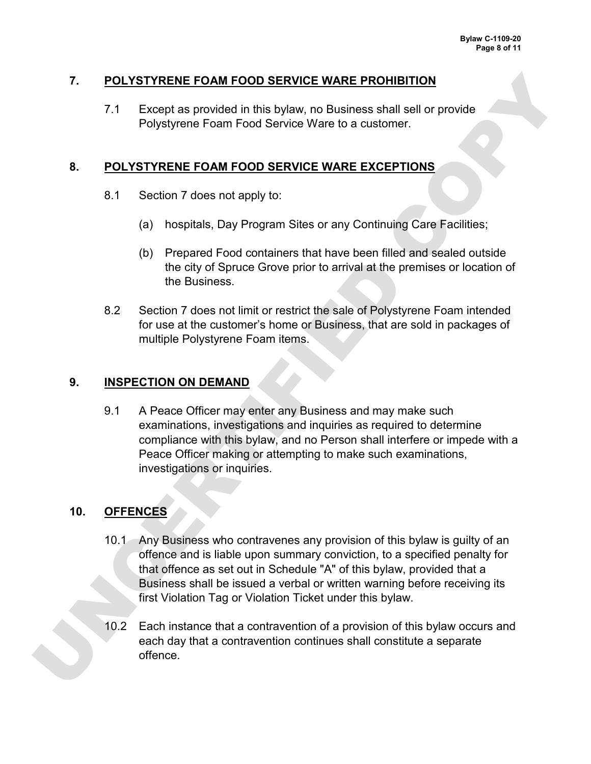### **7. POLYSTYRENE FOAM FOOD SERVICE WARE PROHIBITION**

7.1 Except as provided in this bylaw, no Business shall sell or provide Polystyrene Foam Food Service Ware to a customer.

### **8. POLYSTYRENE FOAM FOOD SERVICE WARE EXCEPTIONS**

- 8.1 Section 7 does not apply to:
	- (a) hospitals, Day Program Sites or any Continuing Care Facilities;
	- (b) Prepared Food containers that have been filled and sealed outside the city of Spruce Grove prior to arrival at the premises or location of the Business.
- 8.2 Section 7 does not limit or restrict the sale of Polystyrene Foam intended for use at the customer's home or Business, that are sold in packages of multiple Polystyrene Foam items.

### **9. INSPECTION ON DEMAND**

7. POLYSTYRENE FOAM FOOD SERVICE WARE PROHIBITION<br>
T.1 Except in the bright as small sell of the first manner of the stress and series of the properties.<br>
B. POLYSTYRENE FOAM FOOD SERVICE WARE EXCEPTIONS<br>
8.1 Section 7 do 9.1 A Peace Officer may enter any Business and may make such examinations, investigations and inquiries as required to determine compliance with this bylaw, and no Person shall interfere or impede with a Peace Officer making or attempting to make such examinations, investigations or inquiries.

## **10. OFFENCES**

- 10.1 Any Business who contravenes any provision of this bylaw is guilty of an offence and is liable upon summary conviction, to a specified penalty for that offence as set out in Schedule "A" of this bylaw, provided that a Business shall be issued a verbal or written warning before receiving its first Violation Tag or Violation Ticket under this bylaw.
- 10.2 Each instance that a contravention of a provision of this bylaw occurs and each day that a contravention continues shall constitute a separate offence.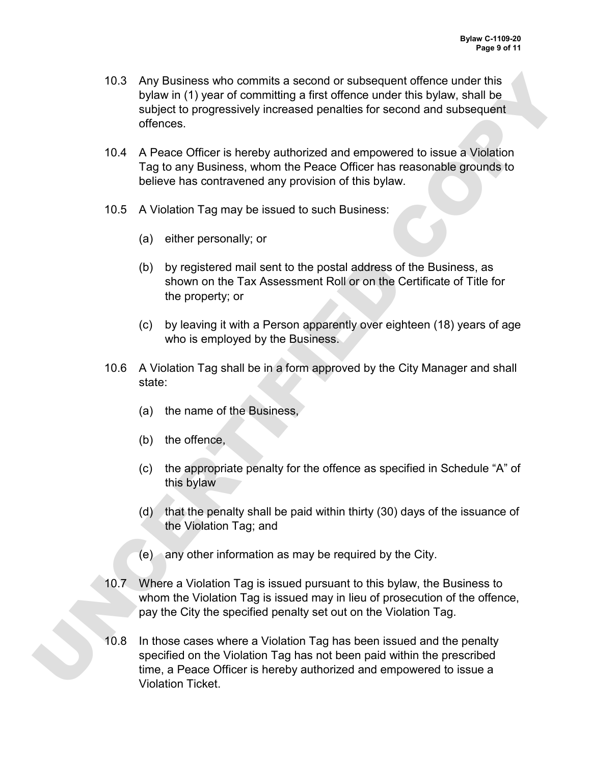- 10.3 Any Business who committing a second or subsequent offence under this bylaw. Shall be<br>
bylaw in (1) year of committing a first offence under this bylaw, shall be<br>
subject to progressively increased penalises for secon 10.3 Any Business who commits a second or subsequent offence under this bylaw in (1) year of committing a first offence under this bylaw, shall be subject to progressively increased penalties for second and subsequent offences.
	- 10.4 A Peace Officer is hereby authorized and empowered to issue a Violation Tag to any Business, whom the Peace Officer has reasonable grounds to believe has contravened any provision of this bylaw.
	- 10.5 A Violation Tag may be issued to such Business:
		- (a) either personally; or
		- (b) by registered mail sent to the postal address of the Business, as shown on the Tax Assessment Roll or on the Certificate of Title for the property; or
		- (c) by leaving it with a Person apparently over eighteen (18) years of age who is employed by the Business.
	- 10.6 A Violation Tag shall be in a form approved by the City Manager and shall state:
		- (a) the name of the Business,
		- (b) the offence,
		- (c) the appropriate penalty for the offence as specified in Schedule "A" of this bylaw
		- (d) that the penalty shall be paid within thirty (30) days of the issuance of the Violation Tag; and
		- (e) any other information as may be required by the City.
	- 10.7 Where a Violation Tag is issued pursuant to this bylaw, the Business to whom the Violation Tag is issued may in lieu of prosecution of the offence, pay the City the specified penalty set out on the Violation Tag.
	- 10.8 In those cases where a Violation Tag has been issued and the penalty specified on the Violation Tag has not been paid within the prescribed time, a Peace Officer is hereby authorized and empowered to issue a Violation Ticket.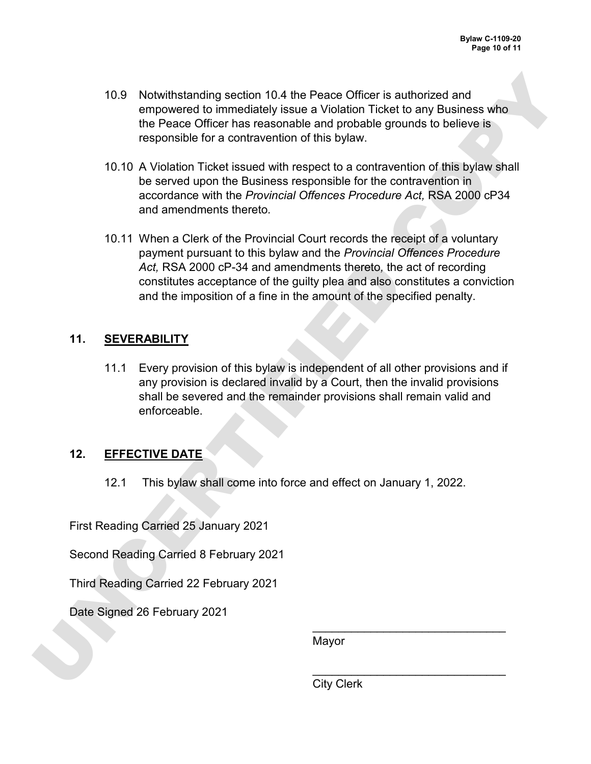- 10.9 Notwithstanding section 10.4 the Peace Officer is authorized and empowered to immediately issue a Violation Ticket to any Business who the Peace Officer has reasonable and probable grounds to believe is responsible for a contravention of this bylaw.
- 10.10 A Violation Ticket issued with respect to a contravention of this bylaw shall be served upon the Business responsible for the contravention in accordance with the *Provincial Offences Procedure Act,* RSA 2000 cP34 and amendments thereto*.*
- 10.9 Notwithstanding section 10.4 the Peace Officer is authorized and<br>
interpresent to immediately issue a Violation Ticket is any Business who<br>
the Peace Officer has reasonable and probable grounds to believe is<br>
responsi 10.11 When a Clerk of the Provincial Court records the receipt of a voluntary payment pursuant to this bylaw and the *Provincial Offences Procedure Act,* RSA 2000 cP-34 and amendments thereto*,* the act of recording constitutes acceptance of the guilty plea and also constitutes a conviction and the imposition of a fine in the amount of the specified penalty.

### **11. SEVERABILITY**

11.1 Every provision of this bylaw is independent of all other provisions and if any provision is declared invalid by a Court, then the invalid provisions shall be severed and the remainder provisions shall remain valid and enforceable.

## **12. EFFECTIVE DATE**

12.1 This bylaw shall come into force and effect on January 1, 2022.

 $\mathcal{L} = \{ \mathcal{L} \mid \mathcal{L} \in \mathcal{L} \}$  , where  $\mathcal{L} = \{ \mathcal{L} \mid \mathcal{L} \in \mathcal{L} \}$  , where  $\mathcal{L} = \{ \mathcal{L} \mid \mathcal{L} \in \mathcal{L} \}$ 

\_\_\_\_\_\_\_\_\_\_\_\_\_\_\_\_\_\_\_\_\_\_\_\_\_\_\_\_\_\_

First Reading Carried 25 January 2021

Second Reading Carried 8 February 2021

Third Reading Carried 22 February 2021

Date Signed 26 February 2021

Mayor (1999) and the control of the control of the control of the control of the control of the control of the

City Clerk